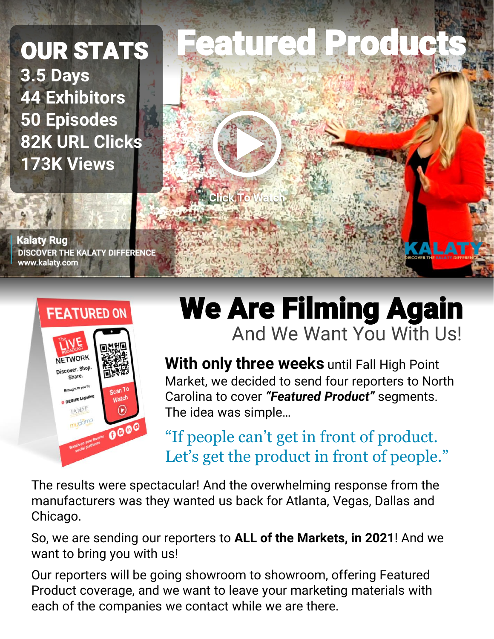### OUR STATS **3.5 Days 44 Exhibitors 50 Episodes 82K URL Clicks 173K Views**

**Kalaty Rug DISCOVER THE KALATY DIFFERENCE** www.kalaty.com





## We Are Filming Again And We Want You With Us!

**With only three weeks** until Fall High Point Market, we decided to send four reporters to North Carolina to cover *"Featured Product"* segments. The idea was simple…

"If people can't get in front of product. Let's get the product in front of people."

The results were spectacular! And the overwhelming response from the manufacturers was they wanted us back for Atlanta, Vegas, Dallas and Chicago.

So, we are sending our reporters to **ALL of the Markets, in 2021**! And we want to bring you with us!

Our reporters will be going showroom to showroom, offering Featured Product coverage, and we want to leave your marketing materials with each of the companies we contact while we are there.